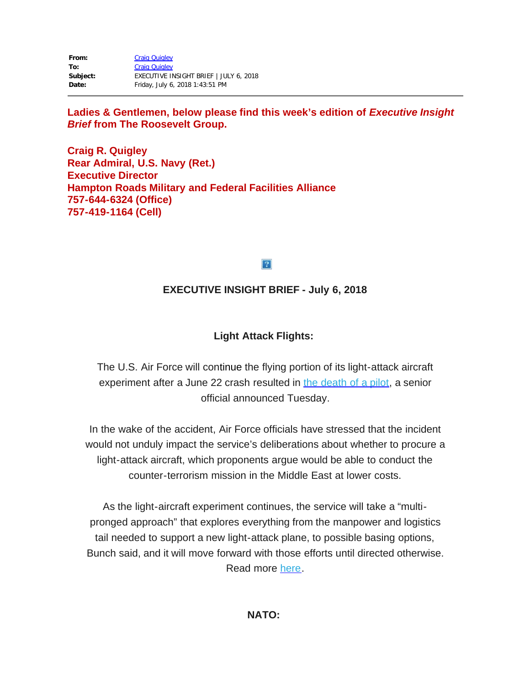| From:    | <b>Craig Quigley</b>                   |
|----------|----------------------------------------|
| To:      | <b>Craig Quigley</b>                   |
| Subject: | EXECUTIVE INSIGHT BRIEF   JULY 6, 2018 |
| Date:    | Friday, July 6, 2018 1:43:51 PM        |

### Ladies & Gentlemen, below please find this week's edition of *Executive Insight Brief* **from The Roosevelt Group.**

**Craig R. Quigley Rear Admiral, U.S. Navy (Ret.) Executive Director Hampton Roads Military and Federal Facilities Alliance 757-644-6324 (Office) 757-419-1164 (Cell)**

 $\overline{?}$ 

# **EXECUTIVE INSIGHT BRIEF - July 6, 2018**

# **Light Attack Flights:**

The U.S. Air Force will continue the flying portion of its light-attack aircraft experiment after a June 22 crash resulted in the [death](https://rooseveltdc.us12.list-manage.com/track/click?u=322456b7b4ad08c1b4904c407&id=0b30d911b1&e=5c6d0a3b33) of a pilot, a senior official announced Tuesday.

In the wake of the accident, Air Force officials have stressed that the incident would not unduly impact the service's deliberations about whether to procure a light-attack aircraft, which proponents argue would be able to conduct the counter-terrorism mission in the Middle East at lower costs.

As the light-aircraft experiment continues, the service will take a "multipronged approach" that explores everything from the manpower and logistics tail needed to support a new light-attack plane, to possible basing options, Bunch said, and it will move forward with those efforts until directed otherwise. Read more [here.](https://rooseveltdc.us12.list-manage.com/track/click?u=322456b7b4ad08c1b4904c407&id=7adbe8775c&e=5c6d0a3b33)

### **NATO:**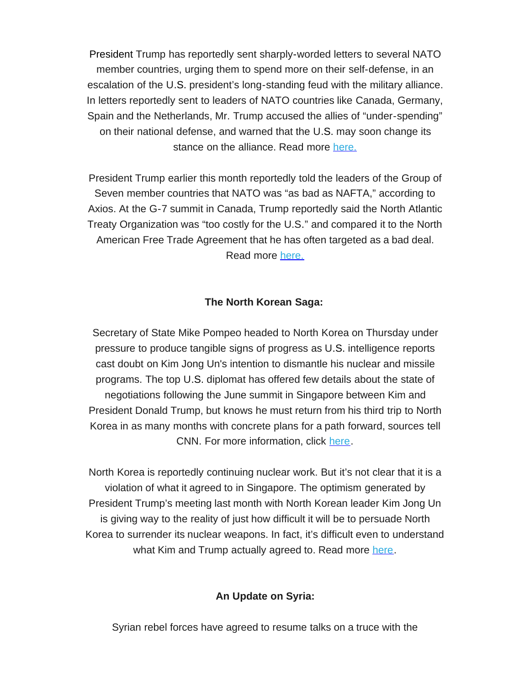President Trump has reportedly sent sharply-worded letters to several NATO member countries, urging them to spend more on their self-defense, in an escalation of the U.S. president's long-standing feud with the military alliance. In letters reportedly sent to leaders of NATO countries like Canada, Germany, Spain and the Netherlands, Mr. Trump accused the allies of "under-spending" on their national defense, and warned that the U.S. may soon change its stance on the alliance. Read more [here.](https://rooseveltdc.us12.list-manage.com/track/click?u=322456b7b4ad08c1b4904c407&id=bb9c4decf6&e=5c6d0a3b33)

President Trump earlier this month reportedly told the leaders of the Group of Seven member countries that NATO was "as bad as NAFTA," according to Axios. At the G-7 summit in Canada, Trump reportedly said the North Atlantic Treaty Organization was "too costly for the U.S." and compared it to the North American Free Trade Agreement that he has often targeted as a bad deal. Read more [here.](https://rooseveltdc.us12.list-manage.com/track/click?u=322456b7b4ad08c1b4904c407&id=24a9e882dc&e=5c6d0a3b33)

### **The North Korean Saga:**

Secretary of State Mike Pompeo headed to North Korea on Thursday under pressure to produce tangible signs of progress as U.S. intelligence reports cast doubt on Kim Jong Un's intention to dismantle his nuclear and missile programs. The top U.S. diplomat has offered few details about the state of negotiations following the June summit in Singapore between Kim and President Donald Trump, but knows he must return from his third trip to North Korea in as many months with concrete plans for a path forward, sources tell CNN. For more information, click [here.](https://rooseveltdc.us12.list-manage.com/track/click?u=322456b7b4ad08c1b4904c407&id=14782906f7&e=5c6d0a3b33)

North Korea is reportedly continuing nuclear work. But it's not clear that it is a violation of what it agreed to in Singapore. The optimism generated by President Trump's meeting last month with North Korean leader Kim Jong Un is giving way to the reality of just how difficult it will be to persuade North Korea to surrender its nuclear weapons. In fact, it's difficult even to understand what Kim and Trump actually agreed to. Read more [here](https://rooseveltdc.us12.list-manage.com/track/click?u=322456b7b4ad08c1b4904c407&id=34a7c6f48c&e=5c6d0a3b33).

#### **An Update on Syria:**

Syrian rebel forces have agreed to resume talks on a truce with the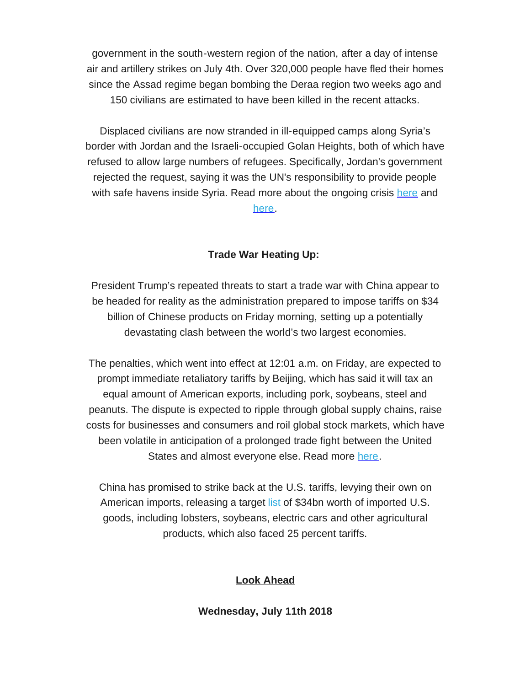government in the south-western region of the nation, after a day of intense air and artillery strikes on July 4th. Over 320,000 people have fled their homes since the Assad regime began bombing the Deraa region two weeks ago and 150 civilians are estimated to have been killed in the recent attacks.

Displaced civilians are now stranded in ill-equipped camps along Syria's border with Jordan and the Israeli-occupied Golan Heights, both of which have refused to allow large numbers of refugees. Specifically, Jordan's government rejected the request, saying it was the UN's responsibility to provide people with safe havens inside Syria. Read more about the ongoing crisis [here](https://rooseveltdc.us12.list-manage.com/track/click?u=322456b7b4ad08c1b4904c407&id=83f43d212f&e=5c6d0a3b33) and [here.](https://rooseveltdc.us12.list-manage.com/track/click?u=322456b7b4ad08c1b4904c407&id=c1ffc01aaf&e=5c6d0a3b33)

#### **Trade War Heating Up:**

President Trump's repeated threats to start a trade war with China appear to be headed for reality as the administration prepared to impose tariffs on \$34 billion of Chinese products on Friday morning, setting up a potentially devastating clash between the world's two largest economies.

The penalties, which went into effect at 12:01 a.m. on Friday, are expected to prompt immediate retaliatory tariffs by Beijing, which has said it will tax an equal amount of American exports, including pork, soybeans, steel and peanuts. The dispute is expected to ripple through global supply chains, raise costs for businesses and consumers and roil global stock markets, which have been volatile in anticipation of a prolonged trade fight between the United States and almost everyone else. Read more [here.](https://rooseveltdc.us12.list-manage.com/track/click?u=322456b7b4ad08c1b4904c407&id=ff59747c11&e=5c6d0a3b33)

China has promised to strike back at the U.S. tariffs, levying their own on American imports, releasing a target [list](https://rooseveltdc.us12.list-manage.com/track/click?u=322456b7b4ad08c1b4904c407&id=3b6581bed2&e=5c6d0a3b33) of \$34bn worth of imported U.S. goods, including lobsters, soybeans, electric cars and other agricultural products, which also faced 25 percent tariffs.

# **Look Ahead**

#### **Wednesday, July 11th 2018**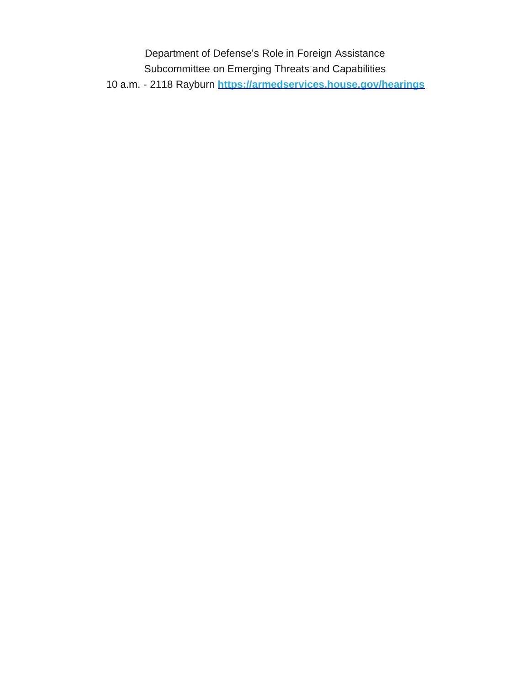Department of Defense's Role in Foreign Assistance Subcommittee on Emerging Threats and Capabilities 10 a.m. - 2118 Rayburn **[https://armedservices.house.gov/hearings](https://rooseveltdc.us12.list-manage.com/track/click?u=322456b7b4ad08c1b4904c407&id=607901b367&e=5c6d0a3b33)**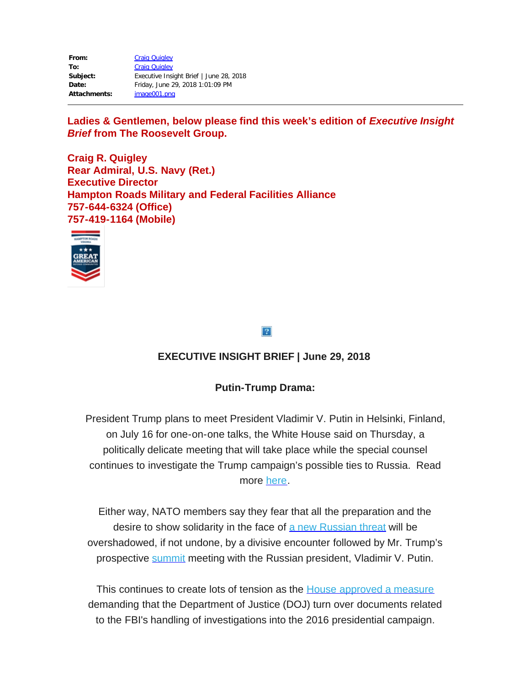| From:        | <b>Craig Quigley</b>                    |
|--------------|-----------------------------------------|
| To:          | <b>Craig Quigley</b>                    |
| Subject:     | Executive Insight Brief   June 28, 2018 |
| Date:        | Friday, June 29, 2018 1:01:09 PM        |
| Attachments: | image001.png                            |

Ladies & Gentlemen, below please find this week's edition of *Executive Insight Brief* **from The Roosevelt Group.**

**Craig R. Quigley Rear Admiral, U.S. Navy (Ret.) Executive Director Hampton Roads Military and Federal Facilities Alliance 757-644-6324 (Office) 757-419-1164 (Mobile)**



#### $|2|$

# **EXECUTIVE INSIGHT BRIEF | June 29, 2018**

# **Putin-Trump Drama:**

President Trump plans to meet President Vladimir V. Putin in Helsinki, Finland, on July 16 for one-on-one talks, the White House said on Thursday, a politically delicate meeting that will take place while the special counsel continues to investigate the Trump campaign's possible ties to Russia. Read more [here](https://rooseveltdc.us12.list-manage.com/track/click?u=322456b7b4ad08c1b4904c407&id=44c9a41cb3&e=5c6d0a3b33).

Either way, NATO members say they fear that all the preparation and the desire to show solidarity in the face of a new [Russian](https://rooseveltdc.us12.list-manage.com/track/click?u=322456b7b4ad08c1b4904c407&id=fba49d8d7b&e=5c6d0a3b33) threat will be overshadowed, if not undone, by a divisive encounter followed by Mr. Trump's prospective **[summit](https://rooseveltdc.us12.list-manage.com/track/click?u=322456b7b4ad08c1b4904c407&id=a0229be320&e=5c6d0a3b33)** meeting with the Russian president, Vladimir V. Putin.

This continues to create lots of tension as the House [approved](https://rooseveltdc.us12.list-manage.com/track/click?u=322456b7b4ad08c1b4904c407&id=8afddff835&e=5c6d0a3b33) a measure demanding that the Department of Justice (DOJ) turn over documents related to the FBI's handling of investigations into the 2016 presidential campaign.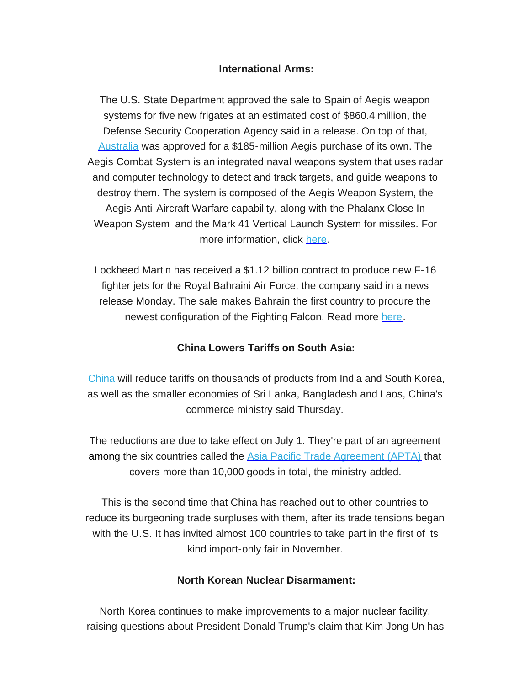#### **International Arms:**

The U.S. State Department approved the sale to Spain of Aegis weapon systems for five new frigates at an estimated cost of \$860.4 million, the Defense Security Cooperation Agency said in a release. On top of that, [Australia](https://rooseveltdc.us12.list-manage.com/track/click?u=322456b7b4ad08c1b4904c407&id=ea1027a87b&e=5c6d0a3b33) was approved for a \$185-million Aegis purchase of its own. The Aegis Combat System is an integrated naval weapons system that uses radar and computer technology to detect and track targets, and guide weapons to destroy them. The system is composed of the Aegis Weapon System, the Aegis Anti-Aircraft Warfare capability, along with the Phalanx Close In Weapon System and the Mark 41 Vertical Launch System for missiles. For more information, click [here.](https://rooseveltdc.us12.list-manage.com/track/click?u=322456b7b4ad08c1b4904c407&id=133185a015&e=5c6d0a3b33)

Lockheed Martin has received a \$1.12 billion contract to produce new F-16 fighter jets for the Royal Bahraini Air Force, the company said in a news release Monday. The sale makes Bahrain the first country to procure the newest configuration of the Fighting Falcon. Read more [here.](https://rooseveltdc.us12.list-manage.com/track/click?u=322456b7b4ad08c1b4904c407&id=1d7573f314&e=5c6d0a3b33)

### **China Lowers Tariffs on South Asia:**

[China](https://rooseveltdc.us12.list-manage.com/track/click?u=322456b7b4ad08c1b4904c407&id=32761d5bd3&e=5c6d0a3b33) will reduce tariffs on thousands of products from India and South Korea, as well as the smaller economies of Sri Lanka, Bangladesh and Laos, China's commerce ministry said Thursday.

The reductions are due to take effect on July 1. They're part of an agreement among the six countries called the Asia Pacific Trade [Agreement](https://rooseveltdc.us12.list-manage.com/track/click?u=322456b7b4ad08c1b4904c407&id=b6abc35106&e=5c6d0a3b33) (APTA) that covers more than 10,000 goods in total, the ministry added.

This is the second time that China has reached out to other countries to reduce its burgeoning trade surpluses with them, after its trade tensions began with the U.S. It has invited almost 100 countries to take part in the first of its kind import-only fair in November.

#### **North Korean Nuclear Disarmament:**

North Korea continues to make improvements to a major nuclear facility, raising questions about President Donald Trump's claim that Kim Jong Un has